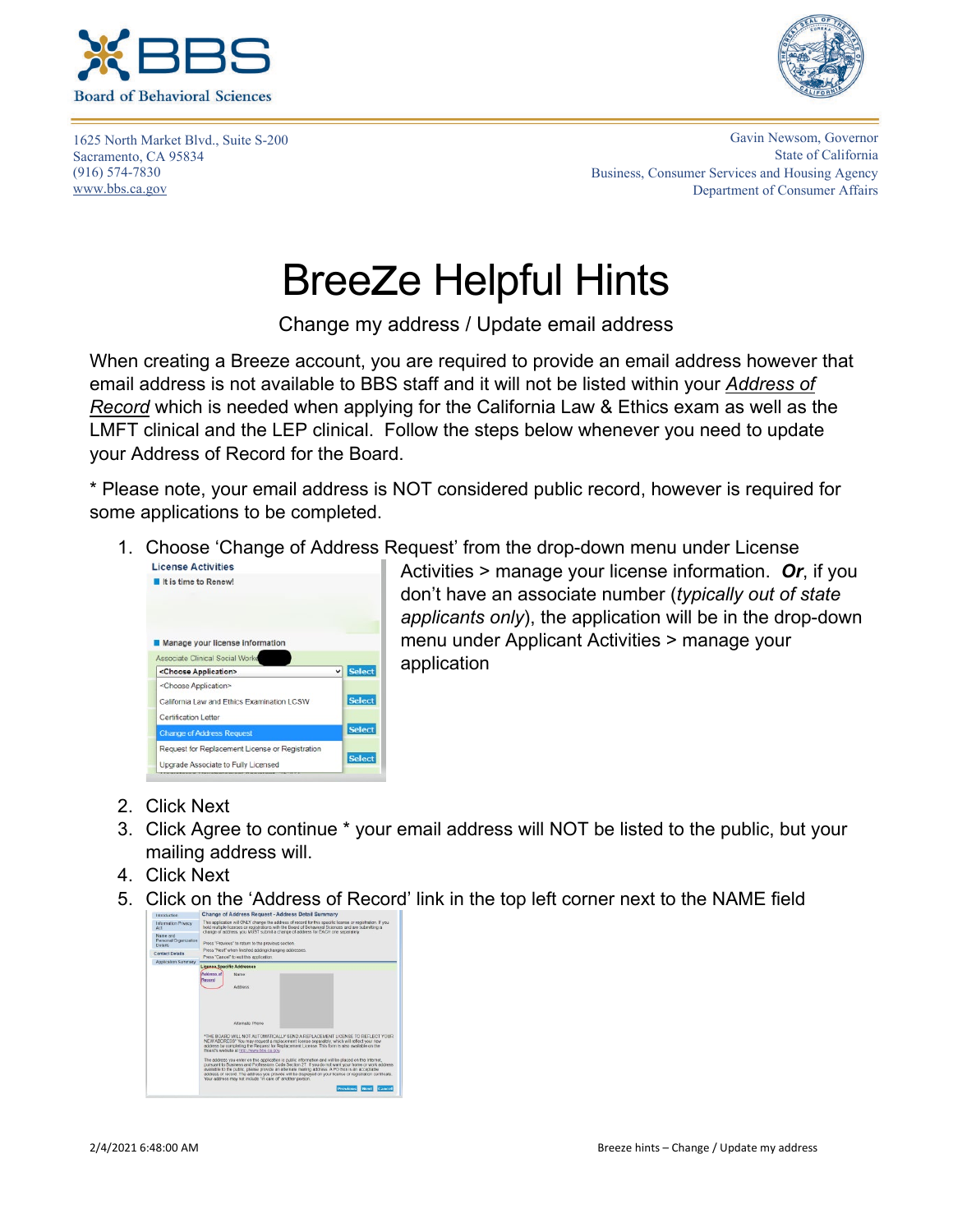



1625 North Market Blvd., Suite S-200 Sacramento, CA 95834 (916) 574-7830 www.bbs.ca.gov

Gavin Newsom, Governor State of California Business, Consumer Services and Housing Agency Department of Consumer Affairs

## Breeze Helpful Hints

Change my address / Update email address

When creating a Breeze account, you are required to provide an email address however that email address is not available to BBS staff and it will not be listed within your *Address of Record* which is needed when applying for the California Law & Ethics exam as well as the LMFT clinical and the LEP clinical. Follow the steps below whenever you need to update your Address of Record for the Board.

\* Please note, your email address is NOT considered public record, however is required for some applications to be completed.

1. Choose 'Change of Address Request' from the drop-down menu under License



Activities > manage your license information. *Or*, if you don't have an associate number (*typically out of state applicants only*), the application will be in the drop-down menu under Applicant Activities > manage your application

- 2. Click Next
- 3. Click Agree to continue \* your email address will NOT be listed to the public, but your mailing address will.
- 4. Click Next
- 5. Click on the 'Address of Record' link in the top left corner next to the NAME field